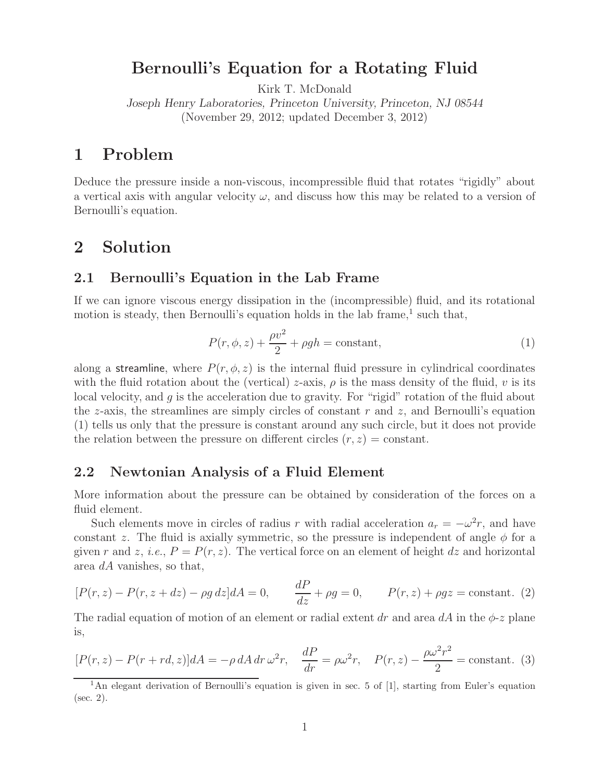### **Bernoulli's Equation for a Rotating Fluid**

Kirk T. McDonald

*Joseph Henry Laboratories, Princeton University, Princeton, NJ 08544* (November 29, 2012; updated December 3, 2012)

# **1 Problem**

Deduce the pressure inside a non-viscous, incompressible fluid that rotates "rigidly" about a vertical axis with angular velocity  $\omega$ , and discuss how this may be related to a version of Bernoulli's equation.

## **2 Solution**

### **2.1 Bernoulli's Equation in the Lab Frame**

If we can ignore viscous energy dissipation in the (incompressible) fluid, and its rotational motion is steady, then Bernoulli's equation holds in the lab frame, $\frac{1}{1}$  such that,

$$
P(r, \phi, z) + \frac{\rho v^2}{2} + \rho gh = \text{constant},\tag{1}
$$

along a streamline, where  $P(r, \phi, z)$  is the internal fluid pressure in cylindrical coordinates with the fluid rotation about the (vertical) z-axis,  $\rho$  is the mass density of the fluid, v is its local velocity, and g is the acceleration due to gravity. For "rigid" rotation of the fluid about the z-axis, the streamlines are simply circles of constant  $r$  and  $z$ , and Bernoulli's equation (1) tells us only that the pressure is constant around any such circle, but it does not provide the relation between the pressure on different circles  $(r, z) = constant$ .

### **2.2 Newtonian Analysis of a Fluid Element**

More information about the pressure can be obtained by consideration of the forces on a fluid element.

Such elements move in circles of radius r with radial acceleration  $a_r = -\omega^2 r$ , and have constant z. The fluid is axially symmetric, so the pressure is independent of angle  $\phi$  for a given r and z, *i.e.*,  $P = P(r, z)$ . The vertical force on an element of height dz and horizontal area dA vanishes, so that,

$$
[P(r,z) - P(r,z+dz) - \rho g dz]dA = 0, \qquad \frac{dP}{dz} + \rho g = 0, \qquad P(r,z) + \rho gz = \text{constant.} \tag{2}
$$

The radial equation of motion of an element or radial extent dr and area dA in the  $\phi$ -z plane is,

$$
[P(r,z) - P(r+rd,z)]dA = -\rho dA dr \,\omega^2 r, \quad \frac{dP}{dr} = \rho \omega^2 r, \quad P(r,z) - \frac{\rho \omega^2 r^2}{2} = \text{constant.}
$$
 (3)

<sup>&</sup>lt;sup>1</sup>An elegant derivation of Bernoulli's equation is given in sec. 5 of [1], starting from Euler's equation (sec. 2).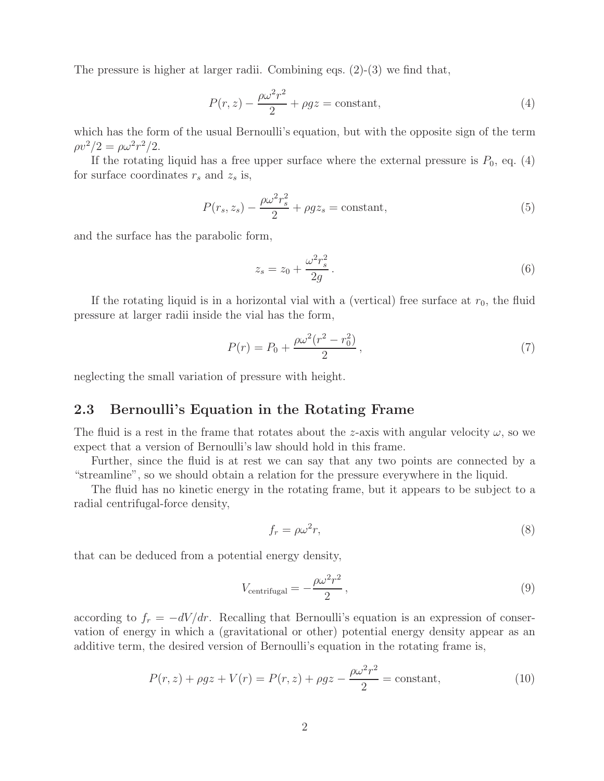The pressure is higher at larger radii. Combining eqs.  $(2)-(3)$  we find that,

$$
P(r,z) - \frac{\rho \omega^2 r^2}{2} + \rho gz = \text{constant},\tag{4}
$$

which has the form of the usual Bernoulli's equation, but with the opposite sign of the term  $\rho v^2/2 = \rho \omega^2 r^2/2$ .

If the rotating liquid has a free upper surface where the external pressure is  $P_0$ , eq. (4) for surface coordinates  $r_s$  and  $z_s$  is,

$$
P(r_s, z_s) - \frac{\rho \omega^2 r_s^2}{2} + \rho g z_s = \text{constant},\tag{5}
$$

and the surface has the parabolic form,

$$
z_s = z_0 + \frac{\omega^2 r_s^2}{2g} \,. \tag{6}
$$

If the rotating liquid is in a horizontal vial with a (vertical) free surface at  $r_0$ , the fluid pressure at larger radii inside the vial has the form,

$$
P(r) = P_0 + \frac{\rho \omega^2 (r^2 - r_0^2)}{2},\tag{7}
$$

neglecting the small variation of pressure with height.

#### **2.3 Bernoulli's Equation in the Rotating Frame**

The fluid is a rest in the frame that rotates about the z-axis with angular velocity  $\omega$ , so we expect that a version of Bernoulli's law should hold in this frame.

Further, since the fluid is at rest we can say that any two points are connected by a "streamline", so we should obtain a relation for the pressure everywhere in the liquid.

The fluid has no kinetic energy in the rotating frame, but it appears to be subject to a radial centrifugal-force density,

$$
f_r = \rho \omega^2 r,\tag{8}
$$

that can be deduced from a potential energy density,

$$
V_{\text{centrifugal}} = -\frac{\rho \omega^2 r^2}{2},\tag{9}
$$

according to  $f_r = -dV/dr$ . Recalling that Bernoulli's equation is an expression of conservation of energy in which a (gravitational or other) potential energy density appear as an additive term, the desired version of Bernoulli's equation in the rotating frame is,

$$
P(r,z) + \rho gz + V(r) = P(r,z) + \rho gz - \frac{\rho \omega^2 r^2}{2} = \text{constant},\tag{10}
$$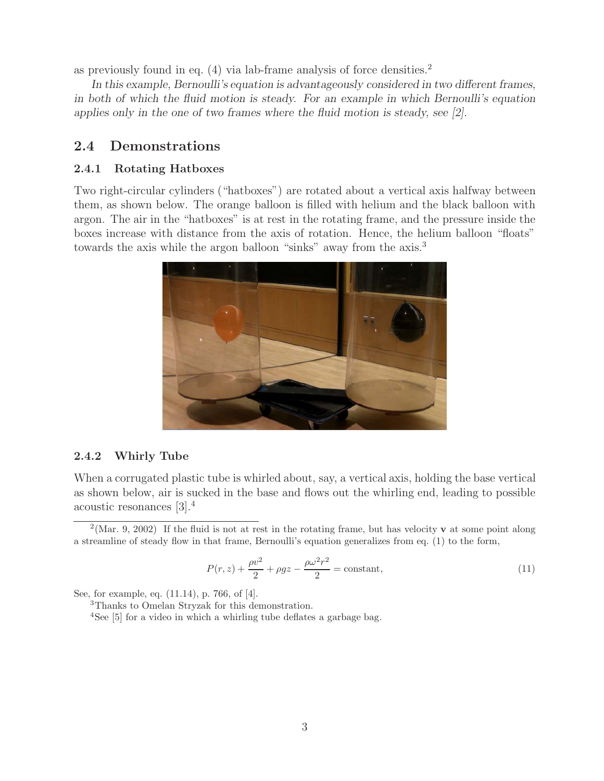as previously found in eq. (4) via lab-frame analysis of force densities.<sup>2</sup>

*In this example, Bernoulli's equation is advantageously considered in two different frames, in both of which the fluid motion is steady. For an example in which Bernoulli's equation applies only in the one of two frames where the fluid motion is steady, see [2].*

### **2.4 Demonstrations**

#### **2.4.1 Rotating Hatboxes**

Two right-circular cylinders ("hatboxes") are rotated about a vertical axis halfway between them, as shown below. The orange balloon is filled with helium and the black balloon with argon. The air in the "hatboxes" is at rest in the rotating frame, and the pressure inside the boxes increase with distance from the axis of rotation. Hence, the helium balloon "floats" towards the axis while the argon balloon "sinks" away from the axis.<sup>3</sup>



#### **2.4.2 Whirly Tube**

When a corrugated plastic tube is whirled about, say, a vertical axis, holding the base vertical as shown below, air is sucked in the base and flows out the whirling end, leading to possible acoustic resonances [3].<sup>4</sup>

$$
P(r,z) + \frac{\rho v^2}{2} + \rho gz - \frac{\rho \omega^2 r^2}{2} = \text{constant},\tag{11}
$$

See, for example, eq. (11.14), p. 766, of [4].

<sup>3</sup>Thanks to Omelan Stryzak for this demonstration.

<sup>4</sup>See [5] for a video in which a whirling tube deflates a garbage bag.

<sup>2</sup>(Mar. 9, 2002) If the fluid is not at rest in the rotating frame, but has velocity **v** at some point along a streamline of steady flow in that frame, Bernoulli's equation generalizes from eq. (1) to the form,